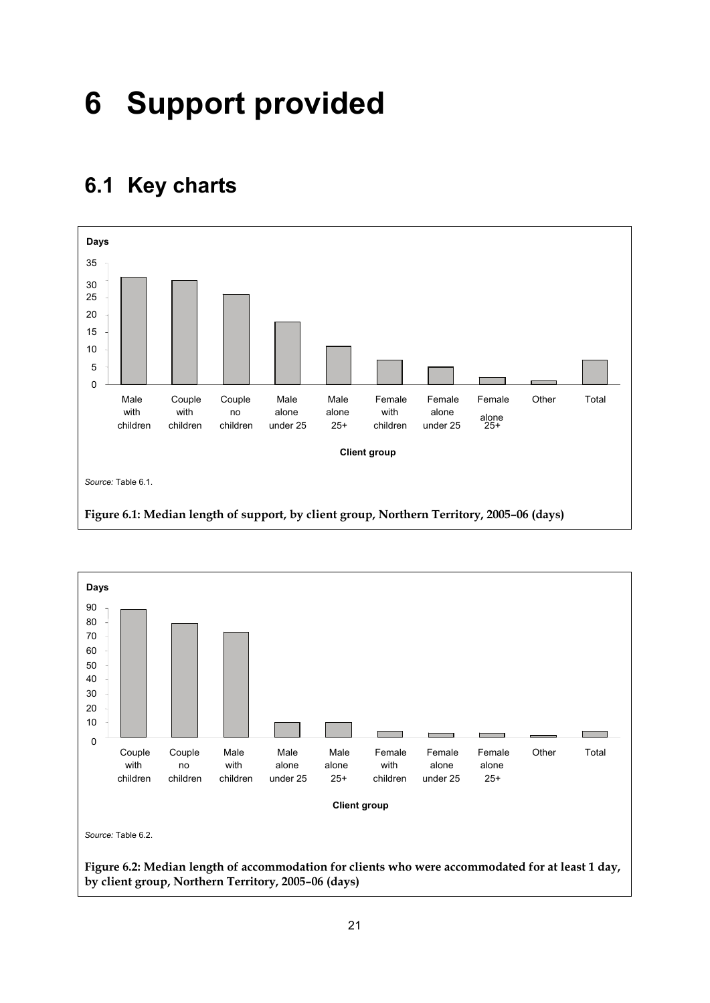## **6 Support provided**

## **6.1 Key charts**



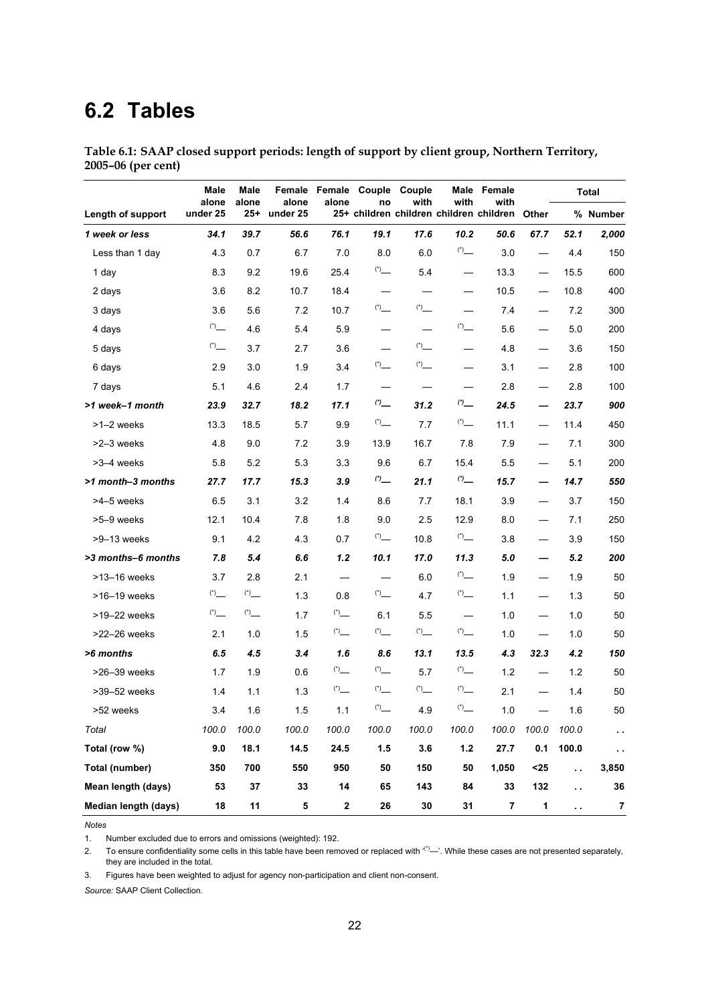## **6.2 Tables**

| Table 6.1: SAAP closed support periods: length of support by client group, Northern Territory, |  |  |  |
|------------------------------------------------------------------------------------------------|--|--|--|
| 2005–06 (per cent)                                                                             |  |  |  |

|                      | Male<br>alone    | Male            | alone    |                                   | Female Female Couple Couple                   |                                                         | Male                             | Female<br>with |                          |                      | <b>Total</b> |
|----------------------|------------------|-----------------|----------|-----------------------------------|-----------------------------------------------|---------------------------------------------------------|----------------------------------|----------------|--------------------------|----------------------|--------------|
| Length of support    | under 25         | alone<br>$25 +$ | under 25 | alone                             | no<br>25+ children children children children | with                                                    | with                             |                | <b>Other</b>             |                      | % Number     |
| 1 week or less       | 34.1             | 39.7            | 56.6     | 76.1                              | 19.1                                          | 17.6                                                    | 10.2                             | 50.6           | 67.7                     | 52.1                 | 2,000        |
| Less than 1 day      | 4.3              | 0.7             | 6.7      | 7.0                               | 8.0                                           | 6.0                                                     |                                  | 3.0            |                          | 4.4                  | 150          |
| 1 day                | 8.3              | 9.2             | 19.6     | 25.4                              |                                               | 5.4                                                     | $\overbrace{\phantom{12321111}}$ | 13.3           | $\overline{\phantom{0}}$ | 15.5                 | 600          |
| 2 days               | 3.6              | 8.2             | 10.7     | 18.4                              |                                               |                                                         |                                  | 10.5           |                          | 10.8                 | 400          |
| 3 days               | 3.6              | 5.6             | 7.2      | 10.7                              |                                               |                                                         |                                  | 7.4            | $\overline{\phantom{0}}$ | 7.2                  | 300          |
| 4 days               |                  | 4.6             | 5.4      | 5.9                               | $\overbrace{\phantom{123321}}$                |                                                         | $\sum_{i=1}^{n}$                 | 5.6            |                          | 5.0                  | 200          |
| 5 days               |                  | 3.7             | 2.7      | 3.6                               |                                               | $\binom{*}{ }$                                          |                                  | 4.8            | $\overline{\phantom{0}}$ | 3.6                  | 150          |
| 6 days               | 2.9              | 3.0             | 1.9      | 3.4                               |                                               |                                                         |                                  | 3.1            | $\overline{\phantom{0}}$ | 2.8                  | 100          |
| 7 days               | 5.1              | 4.6             | 2.4      | 1.7                               |                                               |                                                         |                                  | 2.8            |                          | 2.8                  | 100          |
| >1 week-1 month      | 23.9             | 32.7            | 18.2     | 17.1                              | $\sigma$                                      | 31.2                                                    | (2)                              | 24.5           | $\overline{\phantom{0}}$ | 23.7                 | 900          |
| >1-2 weeks           | 13.3             | 18.5            | 5.7      | 9.9                               |                                               | 7.7                                                     |                                  | 11.1           | $\overline{\phantom{0}}$ | 11.4                 | 450          |
| >2-3 weeks           | 4.8              | 9.0             | 7.2      | 3.9                               | 13.9                                          | 16.7                                                    | 7.8                              | 7.9            | $\overline{\phantom{0}}$ | 7.1                  | 300          |
| >3-4 weeks           | 5.8              | 5.2             | 5.3      | 3.3                               | 9.6                                           | 6.7                                                     | 15.4                             | 55             | $\overline{\phantom{0}}$ | 5.1                  | 200          |
| >1 month-3 months    | 27.7             | 17.7            | 15.3     | 3.9                               | $\omega_{\rm{}}$                              | 21.1                                                    | $\sigma$ $\!$                    | 15.7           | $\overline{\phantom{0}}$ | 14.7                 | 550          |
| >4-5 weeks           | 6.5              | 3.1             | 3.2      | 1.4                               | 8.6                                           | 7.7                                                     | 18.1                             | 3.9            |                          | 3.7                  | 150          |
| >5-9 weeks           | 12.1             | 10.4            | 7.8      | 1.8                               | 9.0                                           | 2.5                                                     | 12.9                             | 8.0            |                          | 7.1                  | 250          |
| >9-13 weeks          | 9.1              | 4.2             | 4.3      | 0.7                               |                                               | 10.8                                                    | (1)                              | 3.8            | $\overline{\phantom{0}}$ | 3.9                  | 150          |
| >3 months-6 months   | 7.8              | 5.4             | 6.6      | 1.2                               | 10.1                                          | 17.0                                                    | 11.3                             | 5.0            |                          | 5.2                  | 200          |
| >13-16 weeks         | 3.7              | 2.8             | 2.1      | $\overbrace{\phantom{123221111}}$ |                                               | 6.0                                                     |                                  | 1.9            | $\overline{\phantom{0}}$ | 1.9                  | 50           |
| >16-19 weeks         |                  |                 | 1.3      | 0.8                               |                                               | 4.7                                                     |                                  | 1.1            | $\overline{\phantom{0}}$ | 1.3                  | 50           |
| >19-22 weeks         | $\sum_{i=1}^{n}$ |                 | 1.7      |                                   | 6.1                                           | 55                                                      |                                  | 1.0            |                          | 1.0                  | 50           |
| >22-26 weeks         | 2.1              | 1.0             | 1.5      |                                   |                                               |                                                         | $\binom{4}{1}$                   | 1.0            |                          | 1.0                  | 50           |
| >6 months            | 6.5              | 4.5             | 3.4      | 1.6                               | 8.6                                           | 13.1                                                    | 13.5                             | 4.3            | 32.3                     | 4.2                  | 150          |
| >26-39 weeks         | 1.7              | 1.9             | 0.6      | $\sum_{i=1}^{n}$                  |                                               | 5.7                                                     |                                  | 1.2            |                          | 1.2                  | 50           |
| >39-52 weeks         | 1.4              | 1.1             | 1.3      | $\binom{*}{-}$                    | $\binom{4}{1}$                                | $\left( ^{\star }\right) _{\underline{\qquad \qquad }}$ |                                  | 2.1            |                          | 1.4                  | 50           |
| >52 weeks            | 3.4              | 1.6             | 1.5      | 1.1                               |                                               | 4.9                                                     | $\overset{(*)}-$                 | 1.0            |                          | 1.6                  | 50           |
| Total                | 100.0            | 100.0           | 100.0    | 100.0                             | 100.0                                         | 100.0                                                   | 100.0                            | 100.0          | 100.0                    | 100.0                | μ.           |
| Total (row %)        | 9.0              | 18.1            | 14.5     | 24.5                              | 1.5                                           | 3.6                                                     | $1.2$                            | 27.7           | 0.1                      | 100.0                | $\epsilon$ . |
| Total (number)       | 350              | 700             | 550      | 950                               | 50                                            | 150                                                     | 50                               | 1,050          | $25$                     | ò.                   | 3,850        |
| Mean length (days)   | 53               | 37              | 33       | 14                                | 65                                            | 143                                                     | 84                               | 33             | 132                      | $\ddot{\phantom{a}}$ | 36           |
| Median length (days) | 18               | 11              | 5        | $\mathbf 2$                       | 26                                            | $30\,$                                                  | 31                               | 7              | $\mathbf{1}$             | $\epsilon$ .         | $\bf 7$      |

*Notes* 

1. Number excluded due to errors and omissions (weighted): 192.

2. To ensure confidentiality some cells in this table have been removed or replaced with  $(')$ —'. While these cases are not presented separately, they are included in the total.

3. Figures have been weighted to adjust for agency non-participation and client non-consent.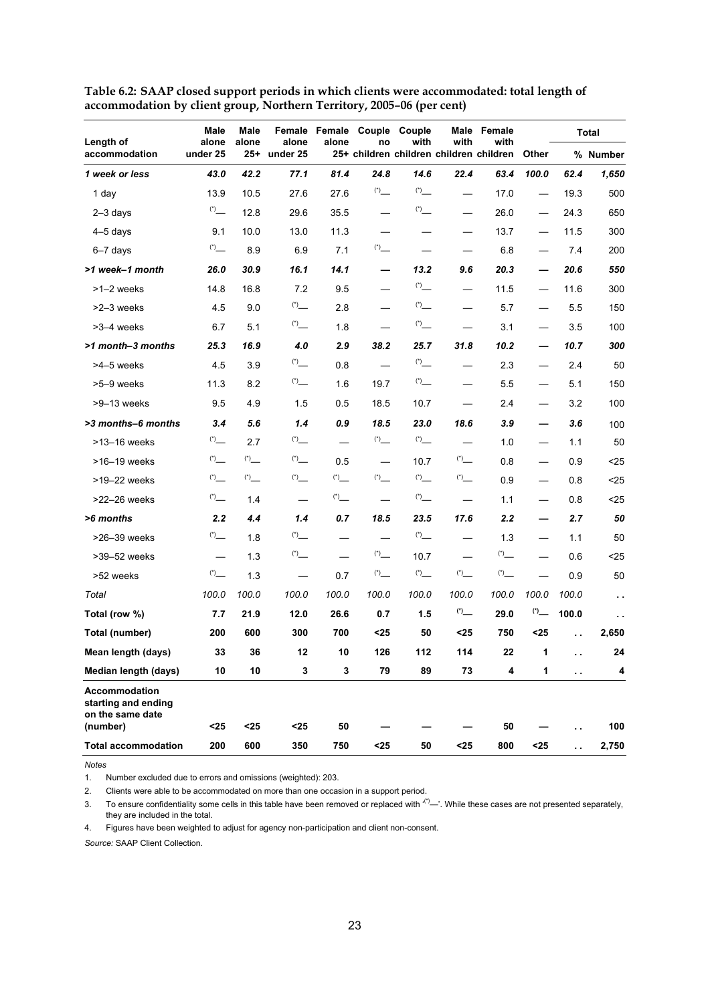| Length of                                                       | Male<br>alone      | Male<br>alone       | alone                    | alone | Female Female Couple Couple<br>no | with                     | with                     | Male Female<br>with                     |                          |       | <b>Total</b>         |
|-----------------------------------------------------------------|--------------------|---------------------|--------------------------|-------|-----------------------------------|--------------------------|--------------------------|-----------------------------------------|--------------------------|-------|----------------------|
| accommodation                                                   | under 25           | $25 +$              | under 25                 |       |                                   |                          |                          | 25+ children children children children | Other                    |       | % Number             |
| 1 week or less                                                  | 43.0               | 42.2                | 77.1                     | 81.4  | 24.8                              | 14.6                     | 22.4                     | 63.4                                    | 100.0                    | 62.4  | 1,650                |
| 1 day                                                           | 13.9               | 10.5                | 27.6                     | 27.6  |                                   | $\binom{4}{1}$           |                          | 17.0                                    |                          | 19.3  | 500                  |
| $2-3$ days                                                      |                    | 12.8                | 29.6                     | 35.5  |                                   |                          |                          | 26.0                                    |                          | 24.3  | 650                  |
| $4-5$ days                                                      | 9.1                | 10.0                | 13.0                     | 11.3  |                                   |                          |                          | 13.7                                    |                          | 11.5  | 300                  |
| $6 - 7$ days                                                    |                    | 8.9                 | 6.9                      | 7.1   |                                   | $\overline{\phantom{0}}$ |                          | 6.8                                     |                          | 7.4   | 200                  |
| >1 week-1 month                                                 | 26.0               | 30.9                | 16.1                     | 14.1  | $\overline{\phantom{0}}$          | 13.2                     | 9.6                      | 20.3                                    |                          | 20.6  | 550                  |
| $>1-2$ weeks                                                    | 14.8               | 16.8                | 7.2                      | 9.5   |                                   | $\overset{(*)}{\_}$      |                          | 11.5                                    |                          | 11.6  | 300                  |
| >2-3 weeks                                                      | 4.5                | 9.0                 | $\overset{(*)}{\_}$      | 2.8   |                                   |                          |                          | 5.7                                     |                          | 5.5   | 150                  |
| >3-4 weeks                                                      | 6.7                | 5.1                 |                          | 1.8   |                                   |                          |                          | 3.1                                     |                          | 3.5   | 100                  |
| >1 month-3 months                                               | 25.3               | 16.9                | 4.0                      | 2.9   | 38.2                              | 25.7                     | 31.8                     | 10.2                                    |                          | 10.7  | 300                  |
| >4-5 weeks                                                      | 4.5                | 3.9                 |                          | 0.8   |                                   | $\overset{(*)}-$         | $\overline{\phantom{0}}$ | 2.3                                     |                          | 2.4   | 50                   |
| >5-9 weeks                                                      | 11.3               | 8.2                 |                          | 1.6   | 19.7                              |                          |                          | 5.5                                     |                          | 5.1   | 150                  |
| >9-13 weeks                                                     | 9.5                | 4.9                 | 1.5                      | 0.5   | 18.5                              | 10.7                     |                          | 2.4                                     |                          | 3.2   | 100                  |
| >3 months-6 months                                              | 3.4                | 5.6                 | 1.4                      | 0.9   | 18.5                              | 23.0                     | 18.6                     | 3.9                                     | $\overline{\phantom{0}}$ | 3.6   | 100                  |
| >13-16 weeks                                                    |                    | 2.7                 |                          |       |                                   |                          |                          | 1.0                                     |                          | 1.1   | 50                   |
| >16-19 weeks                                                    |                    |                     | $\sum_{i=1}^{n}$         | 0.5   | $\qquad \qquad$                   | 10.7                     |                          | 0.8                                     | $\overline{\phantom{0}}$ | 0.9   | $25$                 |
| >19-22 weeks                                                    | $\overset{(*)}{-}$ | $\overset{(*)}{\_}$ | $\binom{*}{ }$           |       | $\binom{*}{-}$                    |                          |                          | 0.9                                     | $\overline{\phantom{0}}$ | 0.8   | $25$                 |
| >22-26 weeks                                                    |                    | 1.4                 |                          |       |                                   |                          |                          | 1.1                                     |                          | 0.8   | $25$                 |
| >6 months                                                       | 2.2                | 4.4                 | 1.4                      | 0.7   | 18.5                              | 23.5                     | 17.6                     | 2.2                                     | —                        | 2.7   | 50                   |
| >26-39 weeks                                                    |                    | 1.8                 |                          |       |                                   |                          |                          | 1.3                                     | $\overline{\phantom{0}}$ | 1.1   | 50                   |
| >39-52 weeks                                                    |                    | 1.3                 | $\overset{(*)}{\_}$      |       |                                   | 10.7                     |                          |                                         |                          | 0.6   | $25$                 |
| >52 weeks                                                       |                    | 1.3                 | $\overline{\phantom{0}}$ | 0.7   |                                   |                          | $\overset{(*)}{=}$       |                                         |                          | 0.9   | 50                   |
| Total                                                           | 100.0              | 100.0               | 100.0                    | 100.0 | 100.0                             | 100.0                    | 100.0                    | 100.0                                   | 100.0                    | 100.0 | $\ddot{\phantom{a}}$ |
| Total (row %)                                                   | 7.7                | 21.9                | 12.0                     | 26.6  | 0.7                               | 1.5                      |                          | 29.0                                    |                          | 100.0 | $\epsilon$ .         |
| Total (number)                                                  | 200                | 600                 | 300                      | 700   | <25                               | 50                       | <25                      | 750                                     | $25$                     | .,    | 2,650                |
| Mean length (days)                                              | 33                 | 36                  | 12                       | 10    | 126                               | 112                      | 114                      | 22                                      | $\blacktriangleleft$     |       | 24                   |
| Median length (days)                                            | 10                 | 10                  | 3                        | 3     | 79                                | 89                       | 73                       | 4                                       | 1                        | . .   | 4                    |
| <b>Accommodation</b><br>starting and ending<br>on the same date |                    |                     |                          |       |                                   |                          |                          |                                         |                          |       |                      |
| (number)                                                        | $25$               | $25$                | $25$                     | 50    |                                   |                          |                          | 50                                      |                          |       | 100                  |
| <b>Total accommodation</b>                                      | 200                | 600                 | 350                      | 750   | $25$                              | 50                       | $25$                     | 800                                     | $25$                     | i.    | 2,750                |

**Table 6.2: SAAP closed support periods in which clients were accommodated: total length of accommodation by client group, Northern Territory, 2005–06 (per cent)** 

*Notes* 

1. Number excluded due to errors and omissions (weighted): 203.

2. Clients were able to be accommodated on more than one occasion in a support period.

3. To ensure confidentiality some cells in this table have been removed or replaced with  $(')$ —'. While these cases are not presented separately, they are included in the total.

4. Figures have been weighted to adjust for agency non-participation and client non-consent.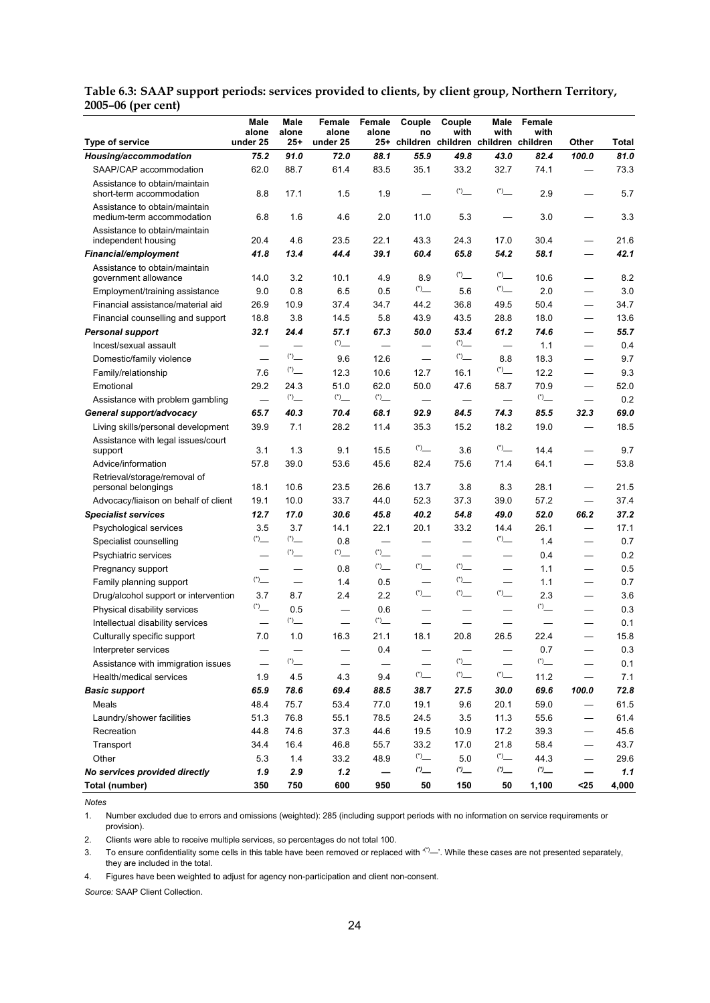| Type of service                                            | Male<br>alone<br>under 25 | Male<br>alone<br>$25 +$  | Female<br>alone<br>under 25 | Female<br>alone          | Couple<br>no<br>25+ children children children children | Couple<br>with                                    | Male<br>with             | Female<br>with | Other | Total |
|------------------------------------------------------------|---------------------------|--------------------------|-----------------------------|--------------------------|---------------------------------------------------------|---------------------------------------------------|--------------------------|----------------|-------|-------|
| Housing/accommodation                                      | 75.2                      | 91.0                     | 72.0                        | 88.1                     | 55.9                                                    | 49.8                                              | 43.0                     | 82.4           | 100.0 | 81.0  |
| SAAP/CAP accommodation                                     | 62.0                      | 88.7                     | 61.4                        | 83.5                     | 35.1                                                    | 33.2                                              | 32.7                     | 74.1           | —     | 73.3  |
| Assistance to obtain/maintain                              |                           |                          |                             |                          |                                                         |                                                   |                          |                |       |       |
| short-term accommodation                                   | 8.8                       | 17.1                     | 1.5                         | 1.9                      |                                                         |                                                   | $(*)$                    | 2.9            |       | 5.7   |
| Assistance to obtain/maintain<br>medium-term accommodation | 6.8                       | 1.6                      | 4.6                         | 2.0                      | 11.0                                                    | 5.3                                               |                          | 3.0            |       | 3.3   |
| Assistance to obtain/maintain<br>independent housing       | 20.4                      | 4.6                      | 23.5                        | 22.1                     | 43.3                                                    | 24.3                                              | 17.0                     | 30.4           |       | 21.6  |
| <b>Financial/employment</b>                                | 41.8                      | 13.4                     | 44.4                        | 39.1                     | 60.4                                                    | 65.8                                              | 54.2                     | 58.1           | —     | 42.1  |
| Assistance to obtain/maintain<br>government allowance      | 14.0                      | 3.2                      | 10.1                        | 4.9                      | 8.9                                                     | $\overset{(*)-1}{\phantom{0}}$                    |                          | 10.6           |       | 8.2   |
| Employment/training assistance                             | 9.0                       | 0.8                      | 6.5                         | 0.5                      |                                                         | 5.6                                               |                          | 2.0            |       | 3.0   |
| Financial assistance/material aid                          | 26.9                      | 10.9                     | 37.4                        | 34.7                     | 44.2                                                    | 36.8                                              | 49.5                     | 50.4           | —     | 34.7  |
| Financial counselling and support                          | 18.8                      | 3.8                      | 14.5                        | 5.8                      | 43.9                                                    | 43.5                                              | 28.8                     | 18.0           | —     | 13.6  |
| <b>Personal support</b>                                    | 32.1                      | 24.4                     | 57.1                        | 67.3                     | 50.0                                                    | 53.4                                              | 61.2                     | 74.6           | —     | 55.7  |
| Incest/sexual assault                                      |                           |                          |                             | $\overline{\phantom{0}}$ |                                                         | $(*)$                                             | $\overline{\phantom{0}}$ | 1.1            | —     | 0.4   |
| Domestic/family violence                                   |                           |                          | 9.6                         | 12.6                     |                                                         |                                                   | 8.8                      | 18.3           |       | 9.7   |
| Family/relationship                                        | 7.6                       | $(*)$                    | 12.3                        | 10.6                     | 12.7                                                    | 16.1                                              |                          | 12.2           | —     | 9.3   |
| Emotional                                                  | 29.2                      | 24.3                     | 51.0                        | 62.0                     | 50.0                                                    | 47.6                                              | 58.7                     | 70.9           |       | 52.0  |
| Assistance with problem gambling                           |                           |                          |                             |                          |                                                         |                                                   |                          |                |       | 0.2   |
| General support/advocacy                                   | 65.7                      | 40.3                     | 70.4                        | 68.1                     | 92.9                                                    | 84.5                                              | 74.3                     | 85.5           | 32.3  | 69.0  |
| Living skills/personal development                         | 39.9                      | 7.1                      | 28.2                        | 11.4                     | 35.3                                                    | 15.2                                              | 18.2                     | 19.0           |       | 18.5  |
| Assistance with legal issues/court                         |                           |                          |                             |                          |                                                         |                                                   |                          |                |       |       |
| support                                                    | 3.1                       | 1.3                      | 9.1                         | 15.5                     |                                                         | 3.6                                               |                          | 14.4           |       | 9.7   |
| Advice/information                                         | 57.8                      | 39.0                     | 53.6                        | 45.6                     | 82.4                                                    | 75.6                                              | 71.4                     | 64.1           |       | 53.8  |
| Retrieval/storage/removal of<br>personal belongings        | 18.1                      | 10.6                     | 23.5                        | 26.6                     | 13.7                                                    | 3.8                                               | 8.3                      | 28.1           |       | 21.5  |
| Advocacy/liaison on behalf of client                       | 19.1                      | 10.0                     | 33.7                        | 44.0                     | 52.3                                                    | 37.3                                              | 39.0                     | 57.2           | —     | 37.4  |
| <b>Specialist services</b>                                 | 12.7                      | 17.0                     | 30.6                        | 45.8                     | 40.2                                                    | 54.8                                              | 49.0                     | 52.0           | 66.2  | 37.2  |
| Psychological services                                     | 3.5                       | 3.7                      | 14.1                        | 22.1                     | 20.1                                                    | 33.2                                              | 14.4                     | 26.1           | —     | 17.1  |
| Specialist counselling                                     |                           |                          | 0.8                         |                          |                                                         |                                                   |                          | 1.4            | —     | 0.7   |
| Psychiatric services                                       | —                         |                          |                             |                          | -                                                       |                                                   | —                        | 0.4            | —     | 0.2   |
| Pregnancy support                                          |                           | —                        | 0.8                         |                          | $\overset{(*)}{\_}$                                     |                                                   | $\overline{\phantom{0}}$ | 1.1            | —     | 0.5   |
| Family planning support                                    |                           | $\overline{\phantom{0}}$ | 1.4                         | 0.5                      |                                                         | $\left( ^{\ast }\right) _{\underline{\quad \, }}$ | $\overline{\phantom{0}}$ | 1.1            | —     | 0.7   |
| Drug/alcohol support or intervention                       | 3.7                       | 8.7                      | 2.4                         | 2.2                      | $\binom{4}{1}$                                          |                                                   |                          | 2.3            |       | 3.6   |
| Physical disability services                               |                           | 0.5                      | $\overline{\phantom{0}}$    | 0.6                      |                                                         |                                                   | $\overline{\phantom{0}}$ |                |       | 0.3   |
| Intellectual disability services                           | —                         |                          | $\overline{\phantom{0}}$    |                          |                                                         |                                                   |                          |                |       | 0.1   |
| Culturally specific support                                | 7.0                       | 1.0                      | 16.3                        | 21.1                     | 18.1                                                    | 20.8                                              | 26.5                     | 22.4           |       | 15.8  |
| Interpreter services                                       |                           |                          |                             | 0.4                      |                                                         |                                                   |                          | 0.7            |       | 0.3   |
| Assistance with immigration issues                         |                           |                          |                             |                          |                                                         |                                                   |                          |                |       | 0.1   |
| Health/medical services                                    | 1.9                       | 4.5                      | 4.3                         | 9.4                      |                                                         | $\binom{*}{ }$                                    |                          | 11.2           |       | 7.1   |
| <b>Basic support</b>                                       | 65.9                      | 78.6                     | 69.4                        | 88.5                     | 38.7                                                    | 27.5                                              | 30.0                     | 69.6           | 100.0 | 72.8  |
| Meals                                                      | 48.4                      | 75.7                     | 53.4                        | 77.0                     | 19.1                                                    | 9.6                                               | 20.1                     | 59.0           |       | 61.5  |
| Laundry/shower facilities                                  | 51.3                      | 76.8                     | 55.1                        | 78.5                     | 24.5                                                    | 3.5                                               | 11.3                     | 55.6           |       | 61.4  |
| Recreation                                                 | 44.8                      | 74.6                     | 37.3                        | 44.6                     | 19.5                                                    | 10.9                                              | 17.2                     | 39.3           | —     | 45.6  |
| Transport                                                  | 34.4                      | 16.4                     | 46.8                        | 55.7                     | 33.2                                                    | 17.0                                              | 21.8                     | 58.4           |       | 43.7  |
| Other                                                      | 5.3                       | $1.4$                    | 33.2                        | 48.9                     |                                                         | 5.0                                               |                          | 44.3           |       | 29.6  |
| No services provided directly                              | 1.9                       | 2.9                      | 1.2                         |                          | $\omega$                                                | (2)                                               | (2)                      | (2)            |       | 1.1   |
| Total (number)                                             | 350                       | 750                      | 600                         | 950                      | 50                                                      | 150                                               | 50                       | 1,100          | $25$  | 4,000 |

**Table 6.3: SAAP support periods: services provided to clients, by client group, Northern Territory, 2005–06 (per cent)** 

*Notes* 

1. Number excluded due to errors and omissions (weighted): 285 (including support periods with no information on service requirements or provision).

2. Clients were able to receive multiple services, so percentages do not total 100.

3. To ensure confidentiality some cells in this table have been removed or replaced with  $(')$ —'. While these cases are not presented separately, they are included in the total.

4. Figures have been weighted to adjust for agency non-participation and client non-consent.